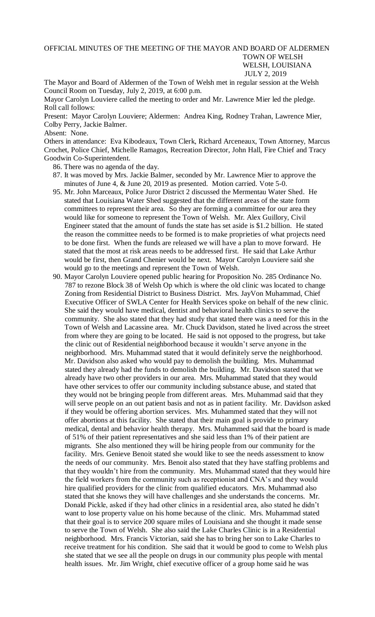OFFICIAL MINUTES OF THE MEETING OF THE MAYOR AND BOARD OF ALDERMEN TOWN OF WELSH WELSH, LOUISIANA JULY 2, 2019

The Mayor and Board of Aldermen of the Town of Welsh met in regular session at the Welsh Council Room on Tuesday, July 2, 2019, at 6:00 p.m.

Mayor Carolyn Louviere called the meeting to order and Mr. Lawrence Mier led the pledge. Roll call follows:

Present: Mayor Carolyn Louviere; Aldermen: Andrea King, Rodney Trahan, Lawrence Mier, Colby Perry, Jackie Balmer.

## Absent: None.

Others in attendance: Eva Kibodeaux, Town Clerk, Richard Arceneaux, Town Attorney, Marcus Crochet, Police Chief, Michelle Ramagos, Recreation Director, John Hall, Fire Chief and Tracy Goodwin Co-Superintendent.

86. There was no agenda of the day.

- 87. It was moved by Mrs. Jackie Balmer, seconded by Mr. Lawrence Mier to approve the minutes of June 4, & June 20, 2019 as presented. Motion carried. Vote 5-0.
- 95. Mr. John Marceaux, Police Juror District 2 discussed the Mermentau Water Shed. He stated that Louisiana Water Shed suggested that the different areas of the state form committees to represent their area. So they are forming a committee for our area they would like for someone to represent the Town of Welsh. Mr. Alex Guillory, Civil Engineer stated that the amount of funds the state has set aside is \$1.2 billion. He stated the reason the committee needs to be formed is to make proprieties of what projects need to be done first. When the funds are released we will have a plan to move forward. He stated that the most at risk areas needs to be addressed first. He said that Lake Arthur would be first, then Grand Chenier would be next. Mayor Carolyn Louviere said she would go to the meetings and represent the Town of Welsh.
- 90. Mayor Carolyn Louviere opened public hearing for Proposition No. 285 Ordinance No. 787 to rezone Block 38 of Welsh Op which is where the old clinic was located to change Zoning from Residential District to Business District. Mrs. JayVon Muhammad, Chief Executive Officer of SWLA Center for Health Services spoke on behalf of the new clinic. She said they would have medical, dentist and behavioral health clinics to serve the community. She also stated that they had study that stated there was a need for this in the Town of Welsh and Lacassine area. Mr. Chuck Davidson, stated he lived across the street from where they are going to be located. He said is not opposed to the progress, but take the clinic out of Residential neighborhood because it wouldn't serve anyone in the neighborhood. Mrs. Muhammad stated that it would definitely serve the neighborhood. Mr. Davidson also asked who would pay to demolish the building. Mrs. Muhammad stated they already had the funds to demolish the building. Mr. Davidson stated that we already have two other providers in our area. Mrs. Muhammad stated that they would have other services to offer our community including substance abuse, and stated that they would not be bringing people from different areas. Mrs. Muhammad said that they will serve people on an out patient basis and not as in patient facility. Mr. Davidson asked if they would be offering abortion services. Mrs. Muhammed stated that they will not offer abortions at this facility. She stated that their main goal is provide to primary medical, dental and behavior health therapy. Mrs. Muhammed said that the board is made of 51% of their patient representatives and she said less than 1% of their patient are migrants. She also mentioned they will be hiring people from our community for the facility. Mrs. Genieve Benoit stated she would like to see the needs assessment to know the needs of our community. Mrs. Benoit also stated that they have staffing problems and that they wouldn't hire from the community. Mrs. Muhammad stated that they would hire the field workers from the community such as receptionist and CNA's and they would hire qualified providers for the clinic from qualified educators. Mrs. Muhammad also stated that she knows they will have challenges and she understands the concerns. Mr. Donald Pickle, asked if they had other clinics in a residential area, also stated he didn't want to lose property value on his home because of the clinic. Mrs. Muhammad stated that their goal is to service 200 square miles of Louisiana and she thought it made sense to serve the Town of Welsh. She also said the Lake Charles Clinic is in a Residential neighborhood. Mrs. Francis Victorian, said she has to bring her son to Lake Charles to receive treatment for his condition. She said that it would be good to come to Welsh plus she stated that we see all the people on drugs in our community plus people with mental health issues. Mr. Jim Wright, chief executive officer of a group home said he was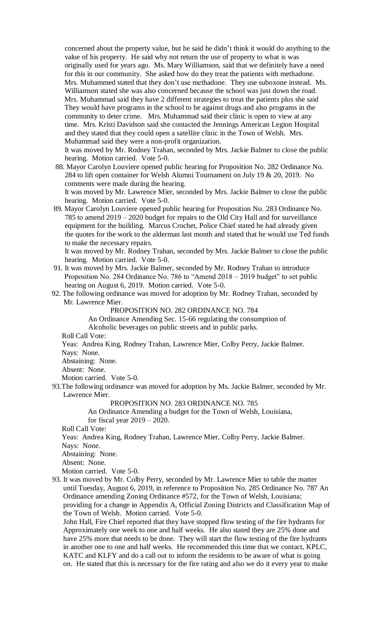concerned about the property value, but he said he didn't think it would do anything to the value of his property. He said why not return the use of property to what is was originally used for years ago. Ms. Mary Williamson, said that we definitely have a need for this in our community. She asked how do they treat the patients with methadone. Mrs. Muhammed stated that they don't use methadone. They use suboxone instead. Ms. Williamson stated she was also concerned because the school was just down the road. Mrs. Muhammad said they have 2 different strategies to treat the patients plus she said They would have programs in the school to be against drugs and also programs in the community to deter crime. Mrs. Muhammad said their clinic is open to view at any time. Mrs. Kristi Davidson said she contacted the Jennings American Legion Hospital and they stated that they could open a satellite clinic in the Town of Welsh. Mrs. Muhammad said they were a non-profit organization.

 It was moved by Mr. Rodney Trahan, seconded by Mrs. Jackie Balmer to close the public hearing. Motion carried. Vote 5-0.

 88. Mayor Carolyn Louviere opened public hearing for Proposition No. 282 Ordinance No. 284 to lift open container for Welsh Alumni Tournament on July 19 & 20, 2019. No comments were made during the hearing.

 It was moved by Mr. Lawrence Mier, seconded by Mrs. Jackie Balmer to close the public hearing. Motion carried. Vote 5-0.

 89. Mayor Carolyn Louviere opened public hearing for Proposition No. 283 Ordinance No. 785 to amend 2019 – 2020 budget for repairs to the Old City Hall and for surveillance equipment for the building. Marcus Crochet, Police Chief stated he had already given the quotes for the work to the alderman last month and stated that he would use Ted funds to make the necessary repairs.

 It was moved by Mr. Rodney Trahan, seconded by Mrs. Jackie Balmer to close the public hearing. Motion carried. Vote 5-0.

- 91. It was moved by Mrs. Jackie Balmer, seconded by Mr. Rodney Trahan to introduce Proposition No. 284 Ordinance No. 786 to "Amend 2018 – 2019 budget" to set public hearing on August 6, 2019. Motion carried. Vote 5-0.
- 92. The following ordinance was moved for adoption by Mr. Rodney Trahan, seconded by Mr. Lawrence Mier.

PROPOSITION NO. 282 ORDINANCE NO. 784

An Ordinance Amending Sec. 15-66 regulating the consumption of

Alcoholic beverages on public streets and in public parks.

Roll Call Vote:

 Yeas: Andrea King, Rodney Trahan, Lawrence Mier, Colby Perry, Jackie Balmer. Nays: None.

Abstaining: None.

Absent: None.

Motion carried. Vote 5-0.

93.The following ordinance was moved for adoption by Ms. Jackie Balmer, seconded by Mr. Lawrence Mier.

PROPOSITION NO. 283 ORDINANCE NO. 785

An Ordinance Amending a budget for the Town of Welsh, Louisiana, for fiscal year 2019 – 2020.

Roll Call Vote:

Yeas: Andrea King, Rodney Trahan, Lawrence Mier, Colby Perry, Jackie Balmer. Nays: None.

Abstaining: None.

Absent: None.

Motion carried. Vote 5-0.

93. It was moved by Mr. Colby Perry, seconded by Mr. Lawrence Mier to table the matter until Tuesday, August 6, 2019, in reference to Proposition No. 285 Ordinance No. 787 An Ordinance amending Zoning Ordinance #572, for the Town of Welsh, Louisiana; providing for a change in Appendix A, Official Zoning Districts and Classification Map of the Town of Welsh. Motion carried. Vote 5-0.

John Hall, Fire Chief reported that they have stopped flow testing of the fire hydrants for Approximately one week to one and half weeks. He also stated they are 25% done and have 25% more that needs to be done. They will start the flow testing of the fire hydrants in another one to one and half weeks. He recommended this time that we contact, KPLC, KATC and KLFY and do a call out to inform the residents to be aware of what is going on. He stated that this is necessary for the fire rating and also we do it every year to make